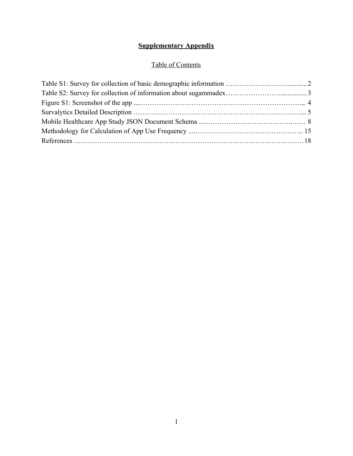## **Supplementary Appendix**

## Table of Contents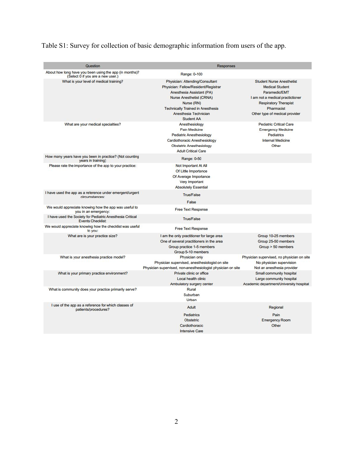| Question                                                                                     | <b>Responses</b>                                                                                                                                                                                                                                |                                                                                                                                                                                                 |
|----------------------------------------------------------------------------------------------|-------------------------------------------------------------------------------------------------------------------------------------------------------------------------------------------------------------------------------------------------|-------------------------------------------------------------------------------------------------------------------------------------------------------------------------------------------------|
| About how long have you been using the app (in months)?<br>(Select 0 if you are a new user.) | Range: 0-100                                                                                                                                                                                                                                    |                                                                                                                                                                                                 |
| What is your level of medical training?                                                      | Physician: Attending/Consultant<br>Physician: Fellow/Resident/Registrar<br>Anesthesia Assistant (PA)<br><b>Nurse Anesthetist (CRNA)</b><br>Nurse (RN)<br><b>Technically Trained in Anesthesia</b><br>Anesthesia Technician<br><b>Student AA</b> | <b>Student Nurse Anesthetist</b><br><b>Medical Student</b><br>Paramedic/EMT<br>I am not a medical practictioner<br><b>Respiratory Therapist</b><br>Pharmacist<br>Other type of medical provider |
| What are your medical specialties?                                                           | Anesthesiology<br><b>Pain Medicine</b><br><b>Pediatric Anesthesiology</b><br>Cardiothoracic Anesthesiology<br><b>Obstetric Anesthesiology</b><br><b>Adult Critical Care</b>                                                                     | <b>Pediatric Critical Care</b><br><b>Emergency Medicine</b><br>Pediatrics<br><b>Internal Medicine</b><br>Other                                                                                  |
| How many years have you been in practice? (Not counting<br>years in training)                | Range: 0-50                                                                                                                                                                                                                                     |                                                                                                                                                                                                 |
| Please rate the importance of the app to your practice:                                      | Not Important At All<br>Of Little Importance<br>Of Average Importance<br>Very Important<br><b>Absolutely Essential</b>                                                                                                                          |                                                                                                                                                                                                 |
| I have used the app as a reference under emergent/urgent<br>circumstances:                   | <b>True/False</b><br>False                                                                                                                                                                                                                      |                                                                                                                                                                                                 |
| We would appreciate knowing how the app was useful to<br>you in an emergency:                | <b>Free Text Response</b>                                                                                                                                                                                                                       |                                                                                                                                                                                                 |
| I have used the Society for Pediatric Anesthesia Critical<br><b>Events Checklist:</b>        | <b>True/False</b>                                                                                                                                                                                                                               |                                                                                                                                                                                                 |
| We would appreciate knowing how the checklist was useful<br>to you:                          | <b>Free Text Response</b>                                                                                                                                                                                                                       |                                                                                                                                                                                                 |
| What are is your practice size?                                                              | I am the only practitioner for large area<br>One of several practitioners in the area<br>Group practice 1-5 members<br>Group 5-10 members                                                                                                       | Group 10-25 members<br>Group 25-50 members<br>$Group > 50$ members                                                                                                                              |
| What is your anesthesia practice model?                                                      | Physician only<br>Physician supervised, anesthesiologist on site<br>Physician supervised, non-anesthesiologist physician on site                                                                                                                | Physician supervised, no physician on site<br>No physician supervision<br>Not an anesthesia provider                                                                                            |
| What is your primary practice environment?                                                   | Private clinic or office<br>Local health clinic<br>Ambulatory surgery center                                                                                                                                                                    | Small community hospital<br>Large community hospital<br>Academic department/University hospital                                                                                                 |
| What is community does your practice primarily serve?                                        | Rural<br>Suburban<br>Urban                                                                                                                                                                                                                      |                                                                                                                                                                                                 |
| I use of the app as a reference for which classes of<br>patients/procedures?                 | Adult<br>Pediatrics<br><b>Obstetric</b><br>Cardiothoracic<br><b>Intensive Care</b>                                                                                                                                                              | Regional<br>Pain<br><b>Emergency Room</b><br>Other                                                                                                                                              |

# Table S1: Survey for collection of basic demographic information from users of the app.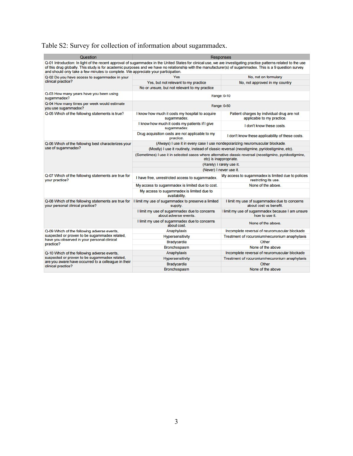# Table S2: Survey for collection of information about sugammadex.

| Question                                                                                | Responses                                                                                                                                                                                                                                                                                                                       |                                                                                              |  |
|-----------------------------------------------------------------------------------------|---------------------------------------------------------------------------------------------------------------------------------------------------------------------------------------------------------------------------------------------------------------------------------------------------------------------------------|----------------------------------------------------------------------------------------------|--|
| and should only take a few minutes to complete. We appreciate your participation.       | Q-01 Introduction: In light of the recent approval of sugammadex in the United States for clinical use, we are investigating practice patterns related to the use<br>of this drug globally. This study is for academic purposes and we have no relationship with the manufacturer(s) of sugammadex. This is a 9 question survey |                                                                                              |  |
| Q-02 Do you have access to sugammadex in your                                           | Yes                                                                                                                                                                                                                                                                                                                             | No, not on formulary                                                                         |  |
| clinical practice?                                                                      | Yes, but not relevant to my practice                                                                                                                                                                                                                                                                                            | No, not approved in my country                                                               |  |
|                                                                                         | No or unsure, but not relevant to my practice                                                                                                                                                                                                                                                                                   |                                                                                              |  |
| Q-03 How many years have you been using<br>sugammadex?                                  |                                                                                                                                                                                                                                                                                                                                 | Range: 0-10                                                                                  |  |
| Q-04 How many times per week would estimate<br>you use sugammadex?                      |                                                                                                                                                                                                                                                                                                                                 | Range: 0-50                                                                                  |  |
| Q-05 Which of the following statements is true?                                         | I know how much it costs my hospital to acquire<br>sugammadex.                                                                                                                                                                                                                                                                  | Patient charges by individual drug are not<br>applicable to my practice.                     |  |
|                                                                                         | I know how much it costs my patients if I give<br>sugammadex.                                                                                                                                                                                                                                                                   | I don't know these costs.                                                                    |  |
|                                                                                         | Drug acquisition costs are not applicable to my<br>practice.                                                                                                                                                                                                                                                                    | I don't know these applicability of these costs.                                             |  |
| Q-06 Which of the following best characterizes your                                     |                                                                                                                                                                                                                                                                                                                                 | (Always) I use it in every case I use nondepolarizing neuromuscular blockade.                |  |
| use of sugammadex?                                                                      |                                                                                                                                                                                                                                                                                                                                 | (Mostly) I use it routinely, instead of classic reversal (neostigmine, pyridostigmine, etc). |  |
|                                                                                         | (Sometimes) I use it in selected cases where alternative classic reversal (neostigmine, pyridostigmine,<br>etc) is inappropriate.                                                                                                                                                                                               |                                                                                              |  |
|                                                                                         | (Rarely) I rarely use it.                                                                                                                                                                                                                                                                                                       |                                                                                              |  |
|                                                                                         |                                                                                                                                                                                                                                                                                                                                 | (Never) I never use it.                                                                      |  |
| Q-07 Which of the following statements are true for<br>your practice?                   | I have free, unrestricted access to sugammadex.                                                                                                                                                                                                                                                                                 | My access to sugammadex is limited due to policies<br>restricting its use.                   |  |
|                                                                                         | My access to sugammadex is limited due to cost.                                                                                                                                                                                                                                                                                 | None of the above.                                                                           |  |
|                                                                                         | My access to sugammadex is limited due to<br>availability.                                                                                                                                                                                                                                                                      |                                                                                              |  |
| Q-08 Which of the following statements are true for<br>your personal clinical practice? | I limit my use of sugammadex to preserve a limited<br>supply.                                                                                                                                                                                                                                                                   | I limit my use of sugammadex due to concerns<br>about cost vs benefit.                       |  |
|                                                                                         | I limit my use of sugammadex due to concerns<br>about adverse events.                                                                                                                                                                                                                                                           | I limit my use of sugammadex because I am unsure<br>how to use it.                           |  |
|                                                                                         | I limit my use of sugammadex due to concerns<br>about cost.                                                                                                                                                                                                                                                                     | None of the above.                                                                           |  |
| Q-09 Which of the following adverse events.                                             | Anaphylaxis                                                                                                                                                                                                                                                                                                                     | Incomplete reversal of neuromuscular blockade                                                |  |
| suspected or proven to be sugammadex related.                                           | Hypersensitivity                                                                                                                                                                                                                                                                                                                | Treatment of rocuronium/vecuronium anaphylaxis                                               |  |
| have you observed in your personal clinical<br>practice?                                | Bradycardia                                                                                                                                                                                                                                                                                                                     | Other                                                                                        |  |
|                                                                                         | Bronchospasm                                                                                                                                                                                                                                                                                                                    | None of the above                                                                            |  |
| Q-10 Which of the following adverse events.                                             | Anaphylaxis                                                                                                                                                                                                                                                                                                                     | Incomplete reversal of neuromuscular blockade                                                |  |
| suspected or proven to be sugammadex related.                                           | <b>Hypersensitivity</b>                                                                                                                                                                                                                                                                                                         | Treatment of rocuronium/vecuronium anaphylaxis                                               |  |
| are you aware have occurred to a colleague in their<br>clinical practice?               | Bradycardia                                                                                                                                                                                                                                                                                                                     | Other                                                                                        |  |
|                                                                                         | Bronchospasm                                                                                                                                                                                                                                                                                                                    | None of the above                                                                            |  |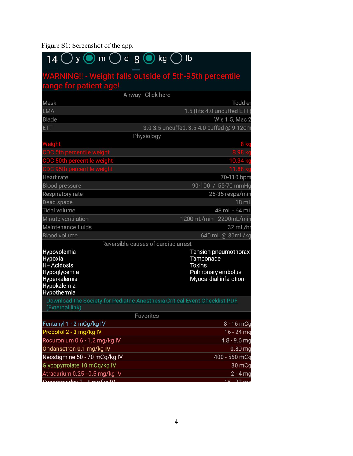# Figure S1: Screenshot of the app.

| $14$ O y O m O d 8 O kg (                                                                                  | lb                                                                                               |
|------------------------------------------------------------------------------------------------------------|--------------------------------------------------------------------------------------------------|
|                                                                                                            | <b>WARNING!! - Weight falls outside of 5th-95th percentile</b>                                   |
| range for patient age!                                                                                     |                                                                                                  |
|                                                                                                            | Airway - Click here                                                                              |
| Mask                                                                                                       | Toddler                                                                                          |
| LMA                                                                                                        | 1.5 (fits 4.0 uncuffed ETT)                                                                      |
| <b>Blade</b>                                                                                               | Wis 1.5, Mac 2                                                                                   |
| <b>ETT</b>                                                                                                 | 3.0-3.5 uncuffed, 3.5-4.0 cuffed @ 9-12cm                                                        |
|                                                                                                            | Physiology                                                                                       |
| Weight                                                                                                     |                                                                                                  |
| C 5th percentile weight                                                                                    |                                                                                                  |
| CDC 50th percentile weight                                                                                 | 10.34                                                                                            |
| 15th percentile weight                                                                                     |                                                                                                  |
| Heart rate                                                                                                 | 70-110 bpm                                                                                       |
| <b>Blood pressure</b>                                                                                      | 90-100 / 55-70 mmHg                                                                              |
| Respiratory rate                                                                                           | 25-35 resps/mir                                                                                  |
| Dead space                                                                                                 | 18 ml                                                                                            |
| <b>Tidal volume</b>                                                                                        | 48 mL - 64 mL                                                                                    |
| Minute ventilation                                                                                         | 1200mL/min - 2200mL/mir                                                                          |
| Maintenance fluids                                                                                         | 32 mL/h                                                                                          |
| <b>Blood volume</b>                                                                                        | 640 mL @ 80mL/kg                                                                                 |
|                                                                                                            | Reversible causes of cardiac arrest                                                              |
| Hypovolemia<br>Hypoxia<br>H+ Acidosis<br>Hypoglycemia<br><b>Hyperkalemia</b><br>Hypokalemia<br>Hypothermia | Tension pneumothorax<br>Tamponade<br><b>Toxins</b><br>Pulmonary embolus<br>Myocardial infarction |
| (External link)                                                                                            | Download the Society for Pediatric Anesthesia Critical Event Checklist PDF                       |
|                                                                                                            | Favorites                                                                                        |
| Fentanyl 1 - 2 mCg/kg IV                                                                                   | $8 - 16$ mCc                                                                                     |
| Propofol 2 - 3 mg/kg IV                                                                                    | $16 - 24$ mg                                                                                     |
| Rocuronium 0.6 - 1.2 mg/kg IV                                                                              | $4.8 - 9.6$ mg                                                                                   |
| Ondansetron 0.1 mg/kg IV                                                                                   | $0.80$ mc                                                                                        |
| Neostigmine 50 - 70 mCg/kg IV                                                                              | 400 - 560 mCg                                                                                    |
| Glycopyrrolate 10 mCg/kg IV                                                                                | 80 mCc                                                                                           |
| Atracurium 0.25 - 0.5 mg/kg IV                                                                             | $2 - 4$ mg<br>16                                                                                 |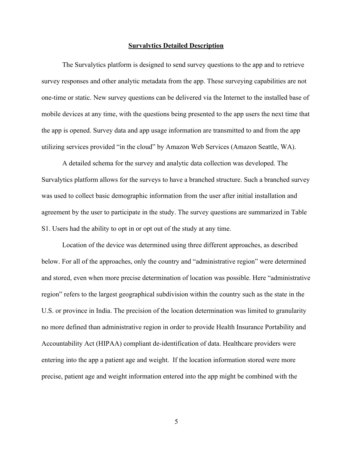#### **Survalytics Detailed Description**

The Survalytics platform is designed to send survey questions to the app and to retrieve survey responses and other analytic metadata from the app. These surveying capabilities are not one-time or static. New survey questions can be delivered via the Internet to the installed base of mobile devices at any time, with the questions being presented to the app users the next time that the app is opened. Survey data and app usage information are transmitted to and from the app utilizing services provided "in the cloud" by Amazon Web Services (Amazon Seattle, WA).

A detailed schema for the survey and analytic data collection was developed. The Survalytics platform allows for the surveys to have a branched structure. Such a branched survey was used to collect basic demographic information from the user after initial installation and agreement by the user to participate in the study. The survey questions are summarized in Table S1. Users had the ability to opt in or opt out of the study at any time.

Location of the device was determined using three different approaches, as described below. For all of the approaches, only the country and "administrative region" were determined and stored, even when more precise determination of location was possible. Here "administrative region" refers to the largest geographical subdivision within the country such as the state in the U.S. or province in India. The precision of the location determination was limited to granularity no more defined than administrative region in order to provide Health Insurance Portability and Accountability Act (HIPAA) compliant de-identification of data. Healthcare providers were entering into the app a patient age and weight. If the location information stored were more precise, patient age and weight information entered into the app might be combined with the

5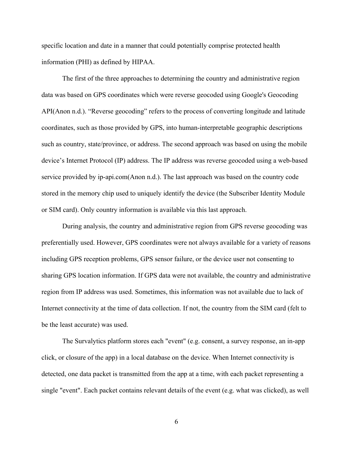specific location and date in a manner that could potentially comprise protected health information (PHI) as defined by HIPAA.

The first of the three approaches to determining the country and administrative region data was based on GPS coordinates which were reverse geocoded using Google's Geocoding AP[I\(Anon n.d.\).](https://paperpile.com/c/6yyPVt/88qJp) "Reverse geocoding" refers to the process of converting longitude and latitude coordinates, such as those provided by GPS, into human-interpretable geographic descriptions such as country, state/province, or address. The second approach was based on using the mobile device's Internet Protocol (IP) address. The IP address was reverse geocoded using a web-based service provided by ip-api.co[m\(Anon n.d.\).](https://paperpile.com/c/6yyPVt/GXr1Q) The last approach was based on the country code stored in the memory chip used to uniquely identify the device (the Subscriber Identity Module or SIM card). Only country information is available via this last approach.

During analysis, the country and administrative region from GPS reverse geocoding was preferentially used. However, GPS coordinates were not always available for a variety of reasons including GPS reception problems, GPS sensor failure, or the device user not consenting to sharing GPS location information. If GPS data were not available, the country and administrative region from IP address was used. Sometimes, this information was not available due to lack of Internet connectivity at the time of data collection. If not, the country from the SIM card (felt to be the least accurate) was used.

The Survalytics platform stores each "event" (e.g. consent, a survey response, an in-app click, or closure of the app) in a local database on the device. When Internet connectivity is detected, one data packet is transmitted from the app at a time, with each packet representing a single "event". Each packet contains relevant details of the event (e.g. what was clicked), as well

6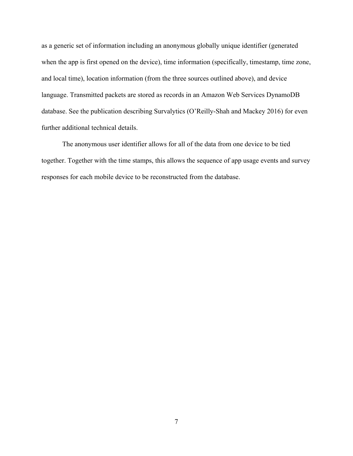as a generic set of information including an anonymous globally unique identifier (generated when the app is first opened on the device), time information (specifically, timestamp, time zone, and local time), location information (from the three sources outlined above), and device language. Transmitted packets are stored as records in an Amazon Web Services DynamoDB database. See the publication describing Survalytics [\(O'Reilly-Shah and Mackey 2016\)](https://paperpile.com/c/6yyPVt/1iUkD) for even further additional technical details.

The anonymous user identifier allows for all of the data from one device to be tied together. Together with the time stamps, this allows the sequence of app usage events and survey responses for each mobile device to be reconstructed from the database.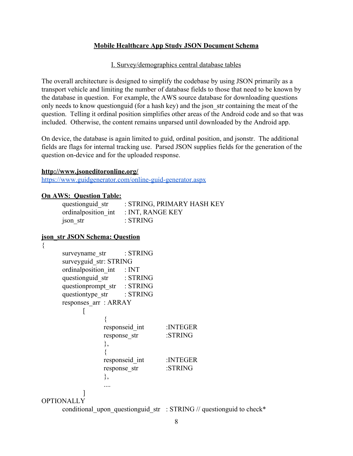### **Mobile Healthcare App Study JSON Document Schema**

#### I. Survey/demographics central database tables

The overall architecture is designed to simplify the codebase by using JSON primarily as a transport vehicle and limiting the number of database fields to those that need to be known by the database in question. For example, the AWS source database for downloading questions only needs to know questionguid (for a hash key) and the json\_str containing the meat of the question. Telling it ordinal position simplifies other areas of the Android code and so that was included. Otherwise, the content remains unparsed until downloaded by the Android app.

On device, the database is again limited to guid, ordinal position, and jsonstr. The additional fields are flags for internal tracking use. Parsed JSON supplies fields for the generation of the question on-device and for the uploaded response.

#### **http://www.jsoneditoronline.org/**

<https://www.guidgenerator.com/online-guid-generator.aspx>

#### **On AWS: Question Table:**

| questionguid str     | : STRING, PRIMARY HASH KEY |
|----------------------|----------------------------|
| ordinal position int | : INT, RANGE KEY           |
| json str             | : STRING                   |

### **json\_str JSON Schema: Question**

| surveyname str : STRING     |        |                         |                                                                                   |
|-----------------------------|--------|-------------------------|-----------------------------------------------------------------------------------|
| surveyguid str: STRING      |        |                         |                                                                                   |
| ordinal position int : INT  |        |                         |                                                                                   |
| questionguid_str : STRING   |        |                         |                                                                                   |
| questionprompt str : STRING |        |                         |                                                                                   |
| questiontype str : STRING   |        |                         |                                                                                   |
| responses arr : ARRAY       |        |                         |                                                                                   |
|                             |        |                         |                                                                                   |
|                             |        |                         |                                                                                   |
|                             |        | responseid int :INTEGER |                                                                                   |
|                             |        | response str            | :STRING                                                                           |
|                             | ∤,     |                         |                                                                                   |
|                             |        |                         |                                                                                   |
|                             |        | responseid int          | :INTEGER                                                                          |
|                             |        | response str            | :STRING                                                                           |
|                             | $\}$ , |                         |                                                                                   |
|                             |        |                         |                                                                                   |
| <b>OPTIONALLY</b>           |        |                         |                                                                                   |
|                             |        |                         | conditional upon questionguid str : STRING $\frac{\pi}{2}$ questionguid to check* |
|                             |        |                         |                                                                                   |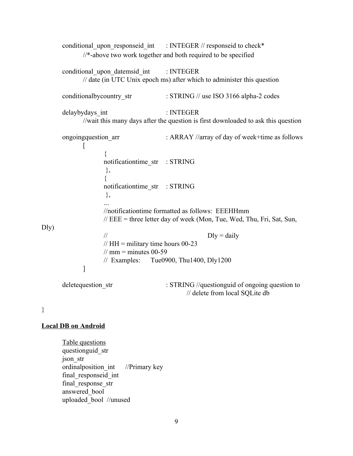|      |                                                                                          | conditional upon responseid int : INTEGER // responseid to check*                                                             |
|------|------------------------------------------------------------------------------------------|-------------------------------------------------------------------------------------------------------------------------------|
|      |                                                                                          | //*-above two work together and both required to be specified                                                                 |
|      | conditional upon datemsid int                                                            | : INTEGER<br>// date (in UTC Unix epoch ms) after which to administer this question                                           |
|      | conditional by country str                                                               | : STRING // use ISO 3166 alpha-2 codes                                                                                        |
|      | delaybydays int                                                                          | : INTEGER<br>//wait this many days after the question is first downloaded to ask this question                                |
|      | ongoingquestion arr<br>L                                                                 | : ARRAY //array of day of week+time as follows                                                                                |
|      | $\{$<br>notificationtime str : STRING<br>$\},\$                                          |                                                                                                                               |
|      | notificationtime str : STRING<br>$\}$                                                    |                                                                                                                               |
| Dly) |                                                                                          | //notificationtime formatted as follows: EEEHHmm<br>$\ell$ EEE = three letter day of week (Mon, Tue, Wed, Thu, Fri, Sat, Sun, |
|      | $\frac{1}{2}$<br>// HH = military time hours $00-23$<br>$\frac{1}{2}$ mm = minutes 00-59 | $Dly = daily$<br>$\text{/}$ Examples: Tue0900, Thu1400, Dly1200                                                               |
|      | ]                                                                                        |                                                                                                                               |
|      | deletequestion str                                                                       | : STRING //questionguid of ongoing question to<br>// delete from local SQLite db                                              |

}

### **Local DB on Android**

Table questions questionguid\_str json\_str ordinalposition\_int //Primary key final\_responseid\_int final\_response\_str answered\_bool uploaded\_bool //unused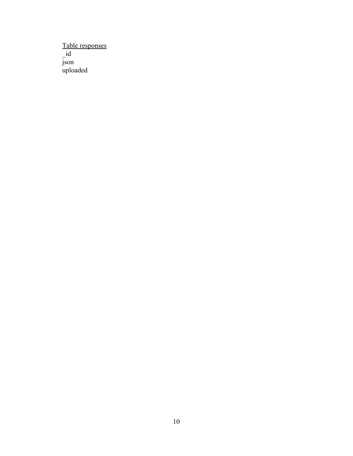Table responses \_id json uploaded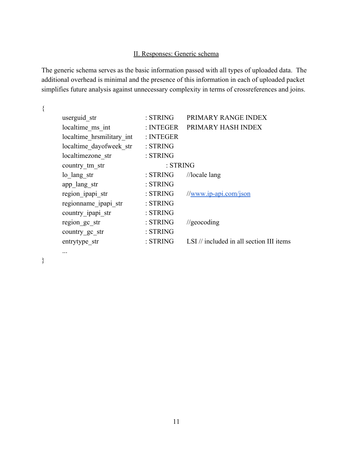## II. Responses: Generic schema

The generic schema serves as the basic information passed with all types of uploaded data. The additional overhead is minimal and the presence of this information in each of uploaded packet simplifies future analysis against unnecessary complexity in terms of crossreferences and joins.

{

| userguid str              | : STRING  | PRIMARY RANGE INDEX                                 |
|---------------------------|-----------|-----------------------------------------------------|
| localtime ms int          | : INTEGER | PRIMARY HASH INDEX                                  |
| localtime hrsmilitary int | : INTEGER |                                                     |
| localtime dayofweek str   | : STRING  |                                                     |
| localtimezone str         | : STRING  |                                                     |
| country tm str            | : STRING  |                                                     |
| lo lang str               | : STRING  | $//$ locale lang                                    |
| app lang str              | : STRING  |                                                     |
| region ipapi str          | : STRING  | $\frac{1}{\text{www.ip-api.com/ison}}$              |
| regionname_ipapi_str      | : STRING  |                                                     |
| country ipapi str         | : STRING  |                                                     |
| region gc_str             | : STRING  | $\frac{1}{2}$ geocoding                             |
| country gc str            | : STRING  |                                                     |
| entrytype str             | : STRING  | LSI $\frac{1}{2}$ included in all section III items |
|                           |           |                                                     |

}

...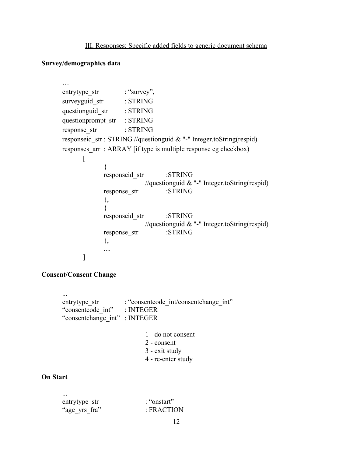III. Responses: Specific added fields to generic document schema

### **Survey/demographics data**

…

```
entrytype str : "survey",
surveyguid str : STRING
questionguid str : STRING
questionprompt_str : STRING
response_str : STRING
responseid str : STRING //questionguid & "-" Integer.toString(respid)
responses arr : ARRAY [if type is multiple response eg checkbox)
      \Gamma{
            responseid_str :STRING
                         //questionguid & "-" Integer.toString(respid)
            response str :STRING
            },
            {
            responseid str :STRING
                         //questionguid & "-" Integer.toString(respid)
            response str :STRING
            },
            ....
      ]
```
### **Consent/Consent Change**

...

entrytype str : "consentcode int/consentchange int" "consentcode\_int" : INTEGER "consentchange\_int" : INTEGER

- 1 do not consent
- 2 consent
- 3 exit study
- 4 re-enter study

#### **On Start**

| $\ddotsc$     |             |
|---------------|-------------|
| entrytype str | : "onstart" |
| "age_yrs_fra" | : FRACTION  |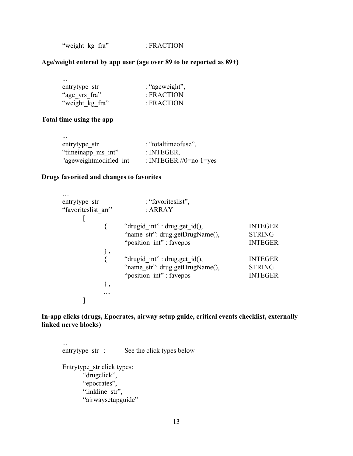"weight\_kg\_fra" : FRACTION

### **Age/weight entered by app user (age over 89 to be reported as 89+)**

| : "ageweight", |
|----------------|
| : FRACTION     |
| · FRACTION     |
|                |

### **Total time using the app**

| $\cdots$               |                          |
|------------------------|--------------------------|
| entrytype str          | : "totaltimeofuse",      |
| "timeinapp ms int"     | : INTEGER,               |
| "ageweightmodified int | : INTEGER $//0=no$ 1=yes |

### **Drugs favorited and changes to favorites**

| entrytype str       | : "favoriteslist",               |                |
|---------------------|----------------------------------|----------------|
| "favoriteslist arr" | : ARRAY                          |                |
|                     |                                  |                |
|                     | "drugid int": drug.get id $($ ), | <b>INTEGER</b> |
|                     | "name str": drug.getDrugName(),  | <b>STRING</b>  |
|                     | "position int": favepos          | <b>INTEGER</b> |
|                     |                                  |                |
|                     | "drugid int": drug.get id(),     | <b>INTEGER</b> |
|                     | "name str": drug.getDrugName(),  | <b>STRING</b>  |
|                     | "position int": favepos          | <b>INTEGER</b> |
|                     |                                  |                |
|                     |                                  |                |
|                     |                                  |                |

### **In-app clicks (drugs, Epocrates, airway setup guide, critical events checklist, externally linked nerve blocks)**

... entrytype\_str : See the click types below Entrytype\_str click types: "drugclick", "epocrates", "linkline\_str", "airwaysetupguide"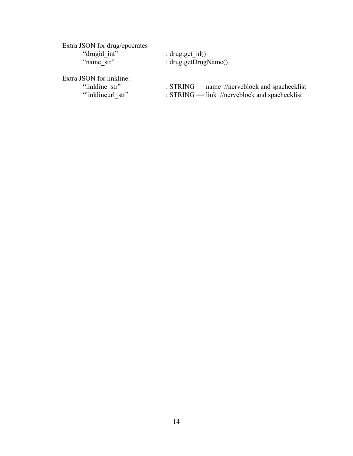| Extra JSON for drug/epocrates<br>"drugid int"<br>"name str"     | : drug.get $id()$<br>: $drug.getDrugName()$                                                        |
|-----------------------------------------------------------------|----------------------------------------------------------------------------------------------------|
| Extra JSON for linkline:<br>"linkline str"<br>"linklineurl str" | : $STRING = name$ //nerveblock and spachecklist<br>: $STRING = link$ //nerveblock and spachecklist |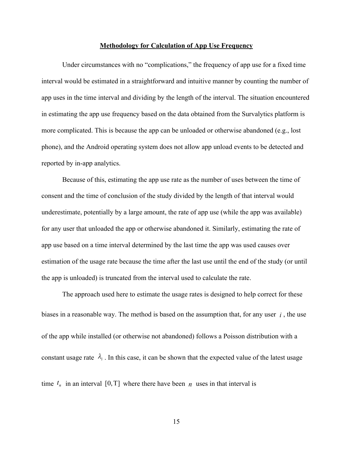#### **Methodology for Calculation of App Use Frequency**

Under circumstances with no "complications," the frequency of app use for a fixed time interval would be estimated in a straightforward and intuitive manner by counting the number of app uses in the time interval and dividing by the length of the interval. The situation encountered in estimating the app use frequency based on the data obtained from the Survalytics platform is more complicated. This is because the app can be unloaded or otherwise abandoned (e.g., lost phone), and the Android operating system does not allow app unload events to be detected and reported by in-app analytics.

Because of this, estimating the app use rate as the number of uses between the time of consent and the time of conclusion of the study divided by the length of that interval would underestimate, potentially by a large amount, the rate of app use (while the app was available) for any user that unloaded the app or otherwise abandoned it. Similarly, estimating the rate of app use based on a time interval determined by the last time the app was used causes over estimation of the usage rate because the time after the last use until the end of the study (or until the app is unloaded) is truncated from the interval used to calculate the rate.

The approach used here to estimate the usage rates is designed to help correct for these biases in a reasonable way. The method is based on the assumption that, for any user  $i$ , the use of the app while installed (or otherwise not abandoned) follows a Poisson distribution with a constant usage rate  $\lambda_i$ . In this case, it can be shown that the expected value of the latest usage time  $t_n$  in an interval [0,T] where there have been  $n$  uses in that interval is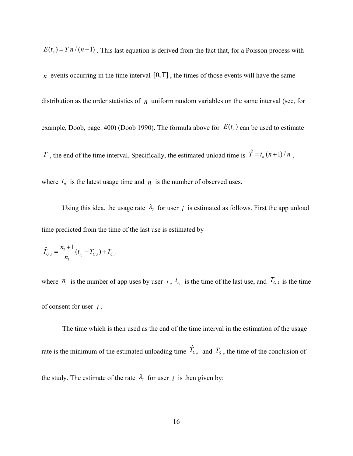$E(t_n) = T n / (n+1)$ . This last equation is derived from the fact that, for a Poisson process with

*n* events occurring in the time interval  $[0, T]$ , the times of those events will have the same distribution as the order statistics of  $n$  uniform random variables on the same interval (see, for example, Doob, page. 400) [\(Doob 1990\).](https://paperpile.com/c/6yyPVt/5cYNm) The formula above for  $E(t_n)$  can be used to estimate T, the end of the time interval. Specifically, the estimated unload time is  $\hat{T} = t_n (n+1)/n$ ,

where  $t_n$  is the latest usage time and  $n_i$  is the number of observed uses.

Using this idea, the usage rate  $\lambda_i$  for user is estimated as follows. First the app unload time predicted from the time of the last use is estimated by

$$
\hat{T}_{U,i} = \frac{n_i + 1}{n_i} (t_{n_i} - T_{C,i}) + T_{C,i}
$$

where  $n_i$  is the number of app uses by user i,  $t_{n_i}$  is the time of the last use, and  $T_{C,i}$  is the time of consent for user  $i$ .

The time which is then used as the end of the time interval in the estimation of the usage rate is the minimum of the estimated unloading time  $\hat{T}_{U,i}$  and  $T_s$ , the time of the conclusion of the study. The estimate of the rate  $\lambda_i$  for user *i* is then given by: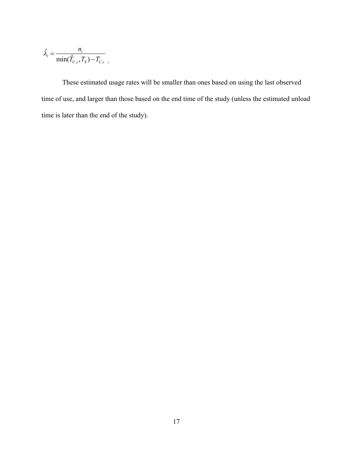$$
\hat{\lambda}_i = \frac{n_i}{\min(\hat{T}_{U,i}, T_S) - T_{C,i}}.
$$

These estimated usage rates will be smaller than ones based on using the last observed time of use, and larger than those based on the end time of the study (unless the estimated unload time is later than the end of the study).